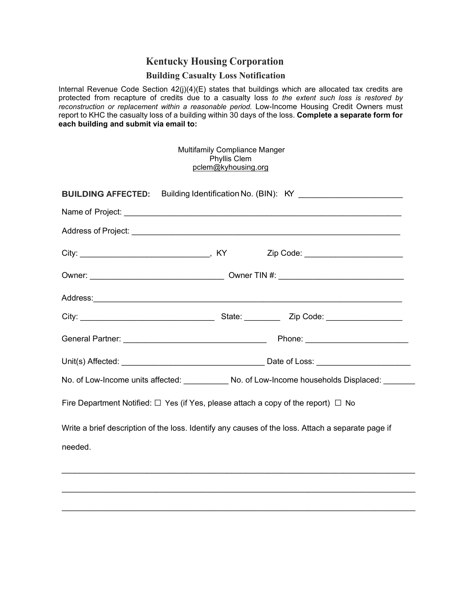## **Kentucky Housing Corporation**

## **Building Casualty Loss Notification**

Internal Revenue Code Section 42(j)(4)(E) states that buildings which are allocated tax credits are protected from recapture of credits due to a casualty loss *to the extent such loss is restored by reconstruction or replacement within a reasonable period.* Low-Income Housing Credit Owners must report to KHC the casualty loss of a building within 30 days of the loss. **Complete a separate form for each building and submit via email to:**

|                                                                                                                   |  | <b>Multifamily Compliance Manger</b><br>Phyllis Clem<br>pclem@kyhousing.org |                                                                                                   |  |
|-------------------------------------------------------------------------------------------------------------------|--|-----------------------------------------------------------------------------|---------------------------------------------------------------------------------------------------|--|
| BUILDING AFFECTED: Building Identification No. (BIN): KY _______________________                                  |  |                                                                             |                                                                                                   |  |
|                                                                                                                   |  |                                                                             | Name of Project: <u>Communications</u> Contract the Contract of Project:                          |  |
|                                                                                                                   |  |                                                                             |                                                                                                   |  |
|                                                                                                                   |  |                                                                             |                                                                                                   |  |
|                                                                                                                   |  |                                                                             |                                                                                                   |  |
|                                                                                                                   |  |                                                                             |                                                                                                   |  |
|                                                                                                                   |  |                                                                             |                                                                                                   |  |
|                                                                                                                   |  |                                                                             |                                                                                                   |  |
|                                                                                                                   |  |                                                                             | Unit(s) Affected: <u>National State of Loss:</u>                                                  |  |
| No. of Low-Income units affected: No. of Low-Income households Displaced: No. of Low-Income households Displaced: |  |                                                                             |                                                                                                   |  |
| Fire Department Notified: $\Box$ Yes (if Yes, please attach a copy of the report) $\Box$ No                       |  |                                                                             |                                                                                                   |  |
| needed.                                                                                                           |  |                                                                             | Write a brief description of the loss. Identify any causes of the loss. Attach a separate page if |  |
|                                                                                                                   |  |                                                                             |                                                                                                   |  |

 $\_$  ,  $\_$  ,  $\_$  ,  $\_$  ,  $\_$  ,  $\_$  ,  $\_$  ,  $\_$  ,  $\_$  ,  $\_$  ,  $\_$  ,  $\_$  ,  $\_$  ,  $\_$  ,  $\_$  ,  $\_$  ,  $\_$  ,  $\_$  ,  $\_$  ,  $\_$  ,  $\_$  ,  $\_$  ,  $\_$  ,  $\_$  ,  $\_$  ,  $\_$  ,  $\_$  ,  $\_$  ,  $\_$  ,  $\_$  ,  $\_$  ,  $\_$  ,  $\_$  ,  $\_$  ,  $\_$  ,  $\_$  ,  $\_$  ,

 $\_$  ,  $\_$  ,  $\_$  ,  $\_$  ,  $\_$  ,  $\_$  ,  $\_$  ,  $\_$  ,  $\_$  ,  $\_$  ,  $\_$  ,  $\_$  ,  $\_$  ,  $\_$  ,  $\_$  ,  $\_$  ,  $\_$  ,  $\_$  ,  $\_$  ,  $\_$